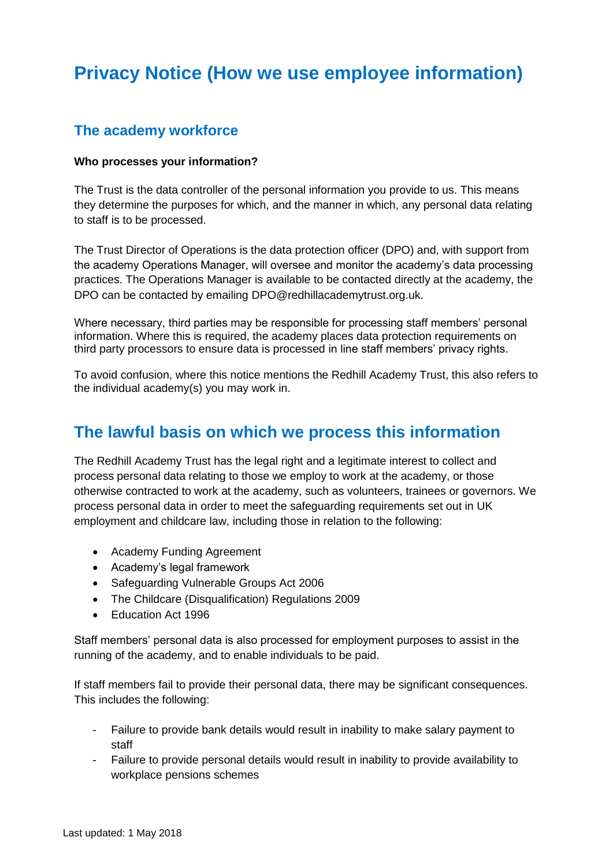# **Privacy Notice (How we use employee information)**

### **The academy workforce**

#### **Who processes your information?**

The Trust is the data controller of the personal information you provide to us. This means they determine the purposes for which, and the manner in which, any personal data relating to staff is to be processed.

The Trust Director of Operations is the data protection officer (DPO) and, with support from the academy Operations Manager, will oversee and monitor the academy's data processing practices. The Operations Manager is available to be contacted directly at the academy, the DPO can be contacted by emailing DPO@redhillacademytrust.org.uk.

Where necessary, third parties may be responsible for processing staff members' personal information. Where this is required, the academy places data protection requirements on third party processors to ensure data is processed in line staff members' privacy rights.

To avoid confusion, where this notice mentions the Redhill Academy Trust, this also refers to the individual academy(s) you may work in.

## **The lawful basis on which we process this information**

The Redhill Academy Trust has the legal right and a legitimate interest to collect and process personal data relating to those we employ to work at the academy, or those otherwise contracted to work at the academy, such as volunteers, trainees or governors. We process personal data in order to meet the safeguarding requirements set out in UK employment and childcare law, including those in relation to the following:

- Academy Funding Agreement
- Academy's legal framework
- Safeguarding Vulnerable Groups Act 2006
- The Childcare (Disqualification) Regulations 2009
- Education Act 1996

Staff members' personal data is also processed for employment purposes to assist in the running of the academy, and to enable individuals to be paid.

If staff members fail to provide their personal data, there may be significant consequences. This includes the following:

- Failure to provide bank details would result in inability to make salary payment to staff
- Failure to provide personal details would result in inability to provide availability to workplace pensions schemes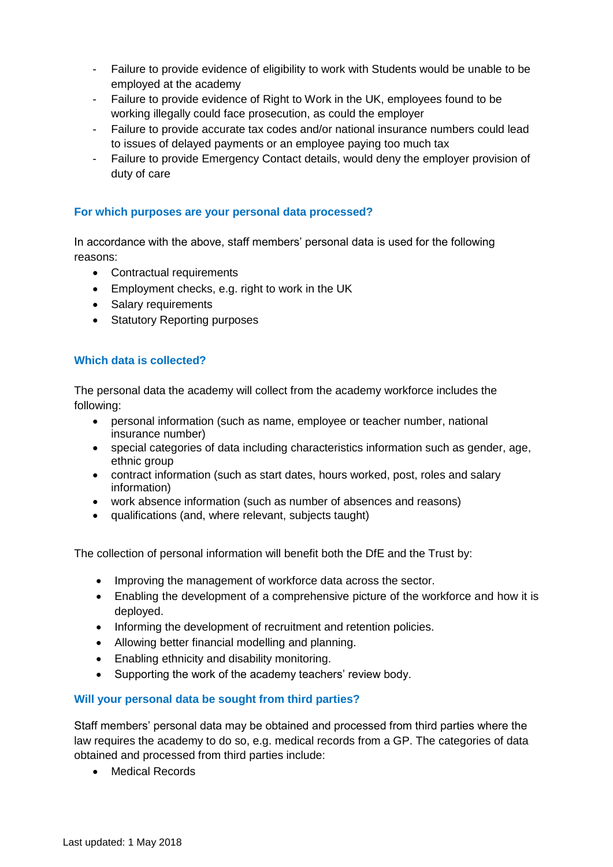- Failure to provide evidence of eligibility to work with Students would be unable to be employed at the academy
- Failure to provide evidence of Right to Work in the UK, employees found to be working illegally could face prosecution, as could the employer
- Failure to provide accurate tax codes and/or national insurance numbers could lead to issues of delayed payments or an employee paying too much tax
- Failure to provide Emergency Contact details, would deny the employer provision of duty of care

#### **For which purposes are your personal data processed?**

In accordance with the above, staff members' personal data is used for the following reasons:

- Contractual requirements
- Employment checks, e.g. right to work in the UK
- Salary requirements
- Statutory Reporting purposes

#### **Which data is collected?**

The personal data the academy will collect from the academy workforce includes the following:

- personal information (such as name, employee or teacher number, national insurance number)
- special categories of data including characteristics information such as gender, age, ethnic group
- contract information (such as start dates, hours worked, post, roles and salary information)
- work absence information (such as number of absences and reasons)
- qualifications (and, where relevant, subjects taught)

The collection of personal information will benefit both the DfE and the Trust by:

- Improving the management of workforce data across the sector.
- Enabling the development of a comprehensive picture of the workforce and how it is deployed.
- Informing the development of recruitment and retention policies.
- Allowing better financial modelling and planning.
- Enabling ethnicity and disability monitoring.
- Supporting the work of the academy teachers' review body.

#### **Will your personal data be sought from third parties?**

Staff members' personal data may be obtained and processed from third parties where the law requires the academy to do so, e.g. medical records from a GP. The categories of data obtained and processed from third parties include:

Medical Records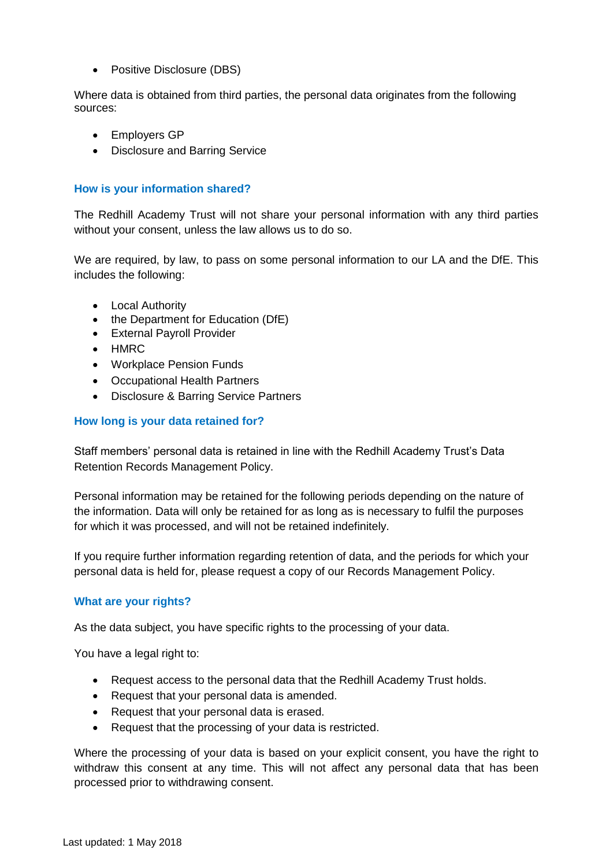• Positive Disclosure (DBS)

Where data is obtained from third parties, the personal data originates from the following sources:

- Employers GP
- Disclosure and Barring Service

#### **How is your information shared?**

The Redhill Academy Trust will not share your personal information with any third parties without your consent, unless the law allows us to do so.

We are required, by law, to pass on some personal information to our LA and the DfE. This includes the following:

- Local Authority
- the Department for Education (DfE)
- External Payroll Provider
- HMRC
- Workplace Pension Funds
- Occupational Health Partners
- Disclosure & Barring Service Partners

#### **How long is your data retained for?**

Staff members' personal data is retained in line with the Redhill Academy Trust's Data Retention Records Management Policy.

Personal information may be retained for the following periods depending on the nature of the information. Data will only be retained for as long as is necessary to fulfil the purposes for which it was processed, and will not be retained indefinitely.

If you require further information regarding retention of data, and the periods for which your personal data is held for, please request a copy of our Records Management Policy.

#### **What are your rights?**

As the data subject, you have specific rights to the processing of your data.

You have a legal right to:

- Request access to the personal data that the Redhill Academy Trust holds.
- Request that your personal data is amended.
- Request that your personal data is erased.
- Request that the processing of your data is restricted.

Where the processing of your data is based on your explicit consent, you have the right to withdraw this consent at any time. This will not affect any personal data that has been processed prior to withdrawing consent.